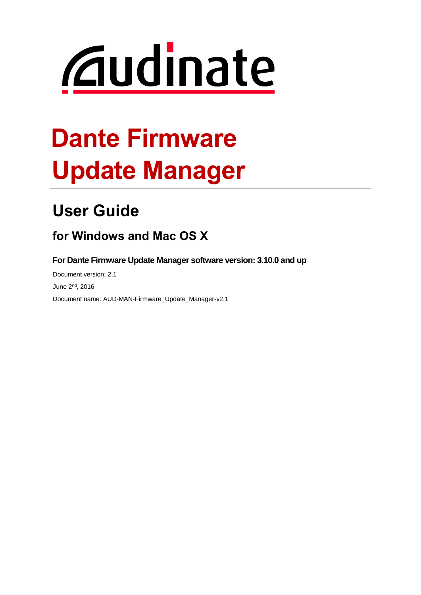# *<u>Caudinate</u>*

## **Dante Firmware Update Manager**

## **User Guide**

## **for Windows and Mac OS X**

**For Dante Firmware Update Manager software version: 3.10.0 and up**

Document version: 2.1 June 2<sup>nd</sup>, 2016 Document name: AUD-MAN-Firmware\_Update\_Manager-v2.1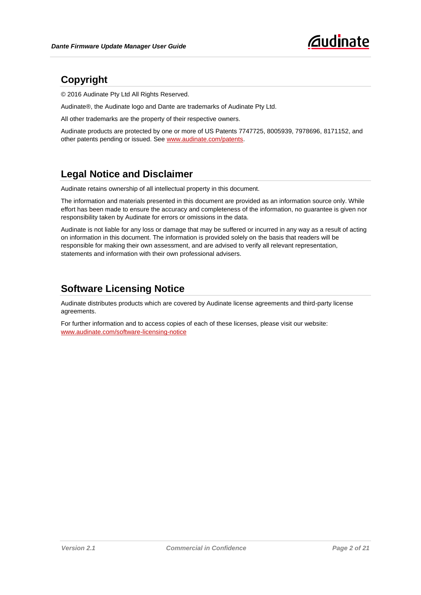

#### **Copyright**

© 2016 Audinate Pty Ltd All Rights Reserved.

Audinate®, the Audinate logo and Dante are trademarks of Audinate Pty Ltd.

All other trademarks are the property of their respective owners.

Audinate products are protected by one or more of US Patents 7747725, 8005939, 7978696, 8171152, and other patents pending or issued. See [www.audinate.com/patents.](http://www.audinate.com/patents)

#### **Legal Notice and Disclaimer**

Audinate retains ownership of all intellectual property in this document.

The information and materials presented in this document are provided as an information source only. While effort has been made to ensure the accuracy and completeness of the information, no guarantee is given nor responsibility taken by Audinate for errors or omissions in the data.

Audinate is not liable for any loss or damage that may be suffered or incurred in any way as a result of acting on information in this document. The information is provided solely on the basis that readers will be responsible for making their own assessment, and are advised to verify all relevant representation, statements and information with their own professional advisers.

#### **Software Licensing Notice**

Audinate distributes products which are covered by Audinate license agreements and third-party license agreements.

For further information and to access copies of each of these licenses, please visit our website: [www.audinate.com/software-licensing-notice](file:///F:/Templates/www.audinate.com/software-licensing-notice)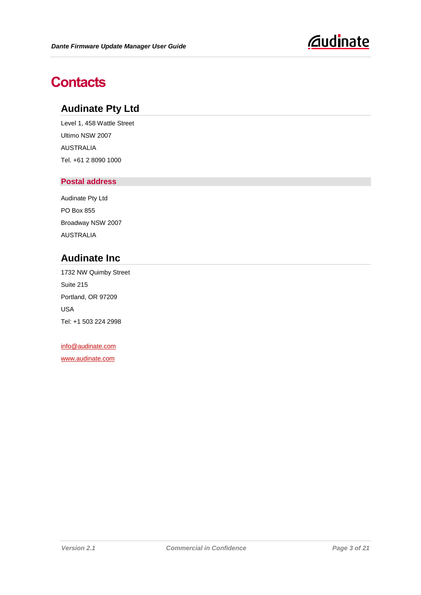

## **Contacts**

#### **Audinate Pty Ltd**

Level 1, 458 Wattle Street Ultimo NSW 2007 AUSTRALIA Tel. +61 2 8090 1000

#### **Postal address**

Audinate Pty Ltd PO Box 855 Broadway NSW 2007 AUSTRALIA

#### **Audinate Inc**

1732 NW Quimby Street Suite 215 Portland, OR 97209 USA Tel: +1 503 224 2998

[info@audinate.com](mailto:info@audinate.com) [www.audinate.com](file:///F:/Templates/www.audinate.com)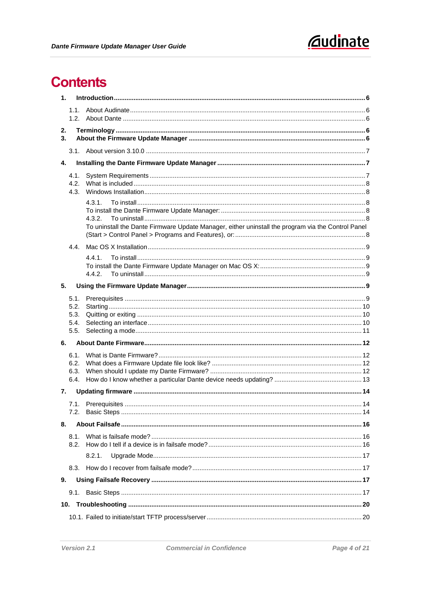

## **Contents**

| 1.           |                                                                                                              |  |
|--------------|--------------------------------------------------------------------------------------------------------------|--|
| 1.1.         |                                                                                                              |  |
| 1.2.         |                                                                                                              |  |
| 2.           |                                                                                                              |  |
| 3.           |                                                                                                              |  |
|              |                                                                                                              |  |
| 4.           |                                                                                                              |  |
| 4.1.         |                                                                                                              |  |
| 4.2.<br>4.3. |                                                                                                              |  |
|              | 4.3.1.                                                                                                       |  |
|              |                                                                                                              |  |
|              | 4.3.2.<br>To uninstall the Dante Firmware Update Manager, either uninstall the program via the Control Panel |  |
|              |                                                                                                              |  |
| 4.4.         |                                                                                                              |  |
|              | 4.4.1.                                                                                                       |  |
|              |                                                                                                              |  |
|              | 4.4.2.                                                                                                       |  |
| 5.           |                                                                                                              |  |
| 5.1.         |                                                                                                              |  |
| 5.2.<br>5.3. |                                                                                                              |  |
| 5.4.         |                                                                                                              |  |
| 5.5.         |                                                                                                              |  |
| 6.           |                                                                                                              |  |
| 6.1.         |                                                                                                              |  |
| 6.2.<br>6.3. |                                                                                                              |  |
| 6.4.         |                                                                                                              |  |
| 7.           |                                                                                                              |  |
|              |                                                                                                              |  |
|              |                                                                                                              |  |
| 8.           |                                                                                                              |  |
| 8.1.         |                                                                                                              |  |
| 8.2.         |                                                                                                              |  |
|              | 8.2.1.                                                                                                       |  |
| 8.3.         |                                                                                                              |  |
| 9.           |                                                                                                              |  |
|              |                                                                                                              |  |
|              |                                                                                                              |  |
|              |                                                                                                              |  |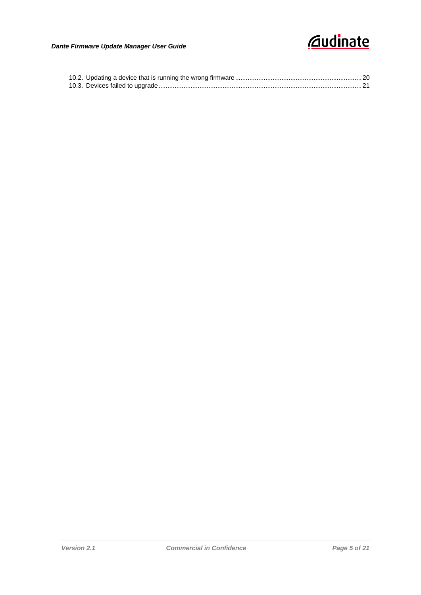## *<u><u>Caudinate</u>*</u>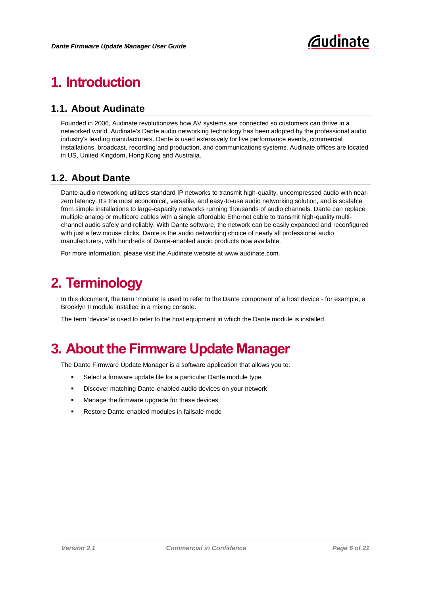## <span id="page-5-0"></span>**1. Introduction**

#### <span id="page-5-1"></span>**1.1. About Audinate**

Founded in 2006, Audinate revolutionizes how AV systems are connected so customers can thrive in a networked world. Audinate's Dante audio networking technology has been adopted by the professional audio industry's leading manufacturers. Dante is used extensively for live performance events, commercial installations, broadcast, recording and production, and communications systems. Audinate offices are located in US, United Kingdom, Hong Kong and Australia.

#### <span id="page-5-2"></span>**1.2. About Dante**

Dante audio networking utilizes standard IP networks to transmit high-quality, uncompressed audio with nearzero latency. It's the most economical, versatile, and easy-to-use audio networking solution, and is scalable from simple installations to large-capacity networks running thousands of audio channels. Dante can replace multiple analog or multicore cables with a single affordable Ethernet cable to transmit high-quality multichannel audio safely and reliably. With Dante software, the network can be easily expanded and reconfigured with just a few mouse clicks. Dante is the audio networking choice of nearly all professional audio manufacturers, with hundreds of Dante-enabled audio products now available.

For more information, please visit the Audinate website at www.audinate.com.

## <span id="page-5-3"></span>**2. Terminology**

In this document, the term 'module' is used to refer to the Dante component of a host device - for example, a Brooklyn II module installed in a mixing console.

The term 'device' is used to refer to the host equipment in which the Dante module is installed.

## <span id="page-5-4"></span>**3. About the Firmware Update Manager**

The Dante Firmware Update Manager is a software application that allows you to:

- Select a firmware update file for a particular Dante module type
- Discover matching Dante-enabled audio devices on your network
- Manage the firmware upgrade for these devices
- Restore Dante-enabled modules in failsafe mode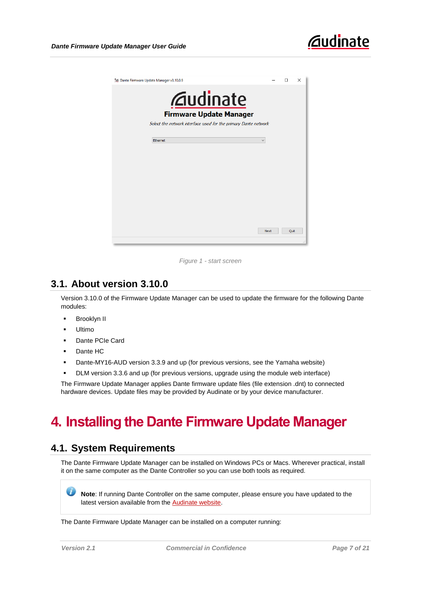

| * Dante Firmware Update Manager v3.10.0.9 |                                                                 | п    | $\times$ |
|-------------------------------------------|-----------------------------------------------------------------|------|----------|
|                                           | <b><i><u>Gudinate</u></i></b><br><b>Firmware Update Manager</b> |      |          |
|                                           | Select the network interface used for the primary Dante network |      |          |
| Ethernet                                  | $\checkmark$                                                    |      |          |
|                                           |                                                                 |      |          |
|                                           |                                                                 |      |          |
|                                           |                                                                 |      |          |
|                                           |                                                                 |      |          |
|                                           |                                                                 |      |          |
|                                           |                                                                 |      |          |
|                                           |                                                                 |      |          |
|                                           | <b>Next</b>                                                     | Quit |          |

*Figure 1 - start screen*

#### <span id="page-6-0"></span>**3.1. About version 3.10.0**

Version 3.10.0 of the Firmware Update Manager can be used to update the firmware for the following Dante modules:

- **Brooklyn II**
- **-** Ultimo
- Dante PCIe Card
- Dante HC
- Dante-MY16-AUD version 3.3.9 and up (for previous versions, see the Yamaha website)
- DLM version 3.3.6 and up (for previous versions, upgrade using the module web interface)

The Firmware Update Manager applies Dante firmware update files (file extension .dnt) to connected hardware devices. Update files may be provided by Audinate or by your device manufacturer.

## <span id="page-6-1"></span>**4. Installing the Dante Firmware Update Manager**

#### <span id="page-6-2"></span>**4.1. System Requirements**

The Dante Firmware Update Manager can be installed on Windows PCs or Macs. Wherever practical, install it on the same computer as the Dante Controller so you can use both tools as required.

Ø **Note**: If running Dante Controller on the same computer, please ensure you have updated to the latest version available from th[e Audinate website.](http://www.audinate.com/index.php?option=com_content&view=article&id=182)

The Dante Firmware Update Manager can be installed on a computer running: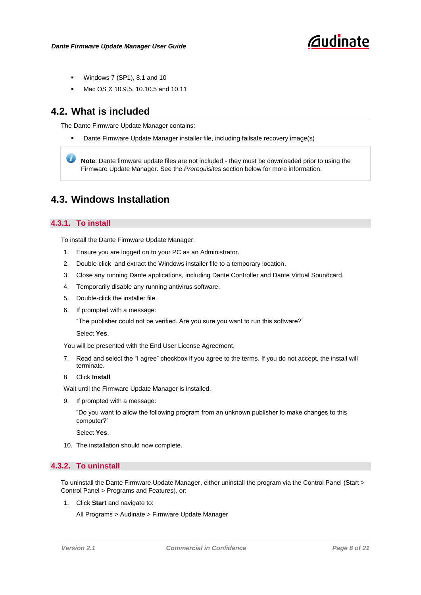- Windows 7 (SP1), 8.1 and 10
- Mac OS X 10.9.5, 10.10.5 and 10.11

#### <span id="page-7-0"></span>**4.2. What is included**

The Dante Firmware Update Manager contains:

Dante Firmware Update Manager installer file, including failsafe recovery image(s)

**Note**: Dante firmware update files are not included - they must be downloaded prior to using the Firmware Update Manager. See the *[Prerequisites](#page-8-5)* section below for more information.

#### <span id="page-7-1"></span>**4.3. Windows Installation**

#### <span id="page-7-2"></span>**4.3.1. To install**

<span id="page-7-3"></span>To install the Dante Firmware Update Manager:

- 1. Ensure you are logged on to your PC as an Administrator.
- 2. Double-click and extract the Windows installer file to a temporary location.
- 3. Close any running Dante applications, including Dante Controller and Dante Virtual Soundcard.
- 4. Temporarily disable any running antivirus software.
- 5. Double-click the installer file.
- 6. If prompted with a message:

"The publisher could not be verified. Are you sure you want to run this software?"

Select **Yes**.

You will be presented with the End User License Agreement.

- 7. Read and select the "I agree" checkbox if you agree to the terms. If you do not accept, the install will terminate.
- 8. Click **Install**

Wait until the Firmware Update Manager is installed.

9. If prompted with a message:

"Do you want to allow the following program from an unknown publisher to make changes to this computer?"

Select **Yes**.

10. The installation should now complete.

#### <span id="page-7-4"></span>**4.3.2. To uninstall**

<span id="page-7-5"></span>To uninstall the Dante Firmware Update Manager, either uninstall the program via the Control Panel (Start > Control Panel > Programs and Features), or:

1. Click **Start** and navigate to:

All Programs > Audinate > Firmware Update Manager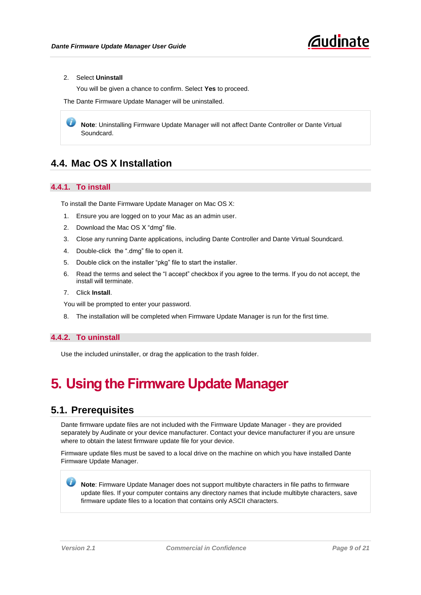

#### 2. Select **Uninstall**

You will be given a chance to confirm. Select **Yes** to proceed.

The Dante Firmware Update Manager will be uninstalled.

**Note**: Uninstalling Firmware Update Manager will not affect Dante Controller or Dante Virtual Soundcard.

#### <span id="page-8-0"></span>**4.4. Mac OS X Installation**

#### <span id="page-8-1"></span>**4.4.1. To install**

<span id="page-8-2"></span>To install the Dante Firmware Update Manager on Mac OS X:

- 1. Ensure you are logged on to your Mac as an admin user.
- 2. Download the Mac OS X "dmg" file.
- 3. Close any running Dante applications, including Dante Controller and Dante Virtual Soundcard.
- 4. Double-click the ".dmg" file to open it.
- 5. Double click on the installer "pkg" file to start the installer.
- 6. Read the terms and select the "I accept" checkbox if you agree to the terms. If you do not accept, the install will terminate.
- 7. Click **Install**.

You will be prompted to enter your password.

8. The installation will be completed when Firmware Update Manager is run for the first time.

#### <span id="page-8-3"></span>**4.4.2. To uninstall**

Use the included uninstaller, or drag the application to the trash folder.

## <span id="page-8-4"></span>**5. Using the Firmware Update Manager**

#### <span id="page-8-5"></span>**5.1. Prerequisites**

Dante firmware update files are not included with the Firmware Update Manager - they are provided separately by Audinate or your device manufacturer. Contact your device manufacturer if you are unsure where to obtain the latest firmware update file for your device.

Firmware update files must be saved to a local drive on the machine on which you have installed Dante Firmware Update Manager.

**Note**: Firmware Update Manager does not support multibyte characters in file paths to firmware update files. If your computer contains any directory names that include multibyte characters, save firmware update files to a location that contains only ASCII characters.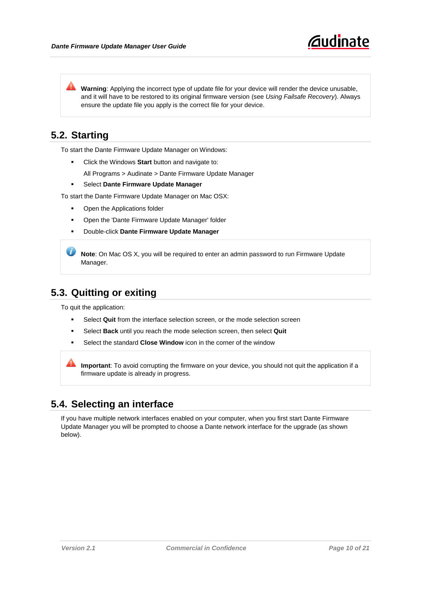Warning: Applying the incorrect type of update file for your device will render the device unusable, and it will have to be restored to its original firmware version (see *[Using Failsafe Recovery](#page-16-2)*). Always ensure the update file you apply is the correct file for your device.

#### <span id="page-9-0"></span>**5.2. Starting**

To start the Dante Firmware Update Manager on Windows:

- Click the Windows **Start** button and navigate to:
	- All Programs > Audinate > Dante Firmware Update Manager
- Select **Dante Firmware Update Manager**
- To start the Dante Firmware Update Manager on Mac OSX:
	- Open the Applications folder
	- Open the 'Dante Firmware Update Manager' folder
	- Double-click **Dante Firmware Update Manager**

 $\boldsymbol{L}$ **Note**: On Mac OS X, you will be required to enter an admin password to run Firmware Update Manager.

#### <span id="page-9-1"></span>**5.3. Quitting or exiting**

To quit the application:

- Select **Quit** from the interface selection screen, or the mode selection screen
- Select **Back** until you reach the mode selection screen, then select **Quit**
- Select the standard **Close Window** icon in the corner of the window

**Important**: To avoid corrupting the firmware on your device, you should not quit the application if a firmware update is already in progress.

#### <span id="page-9-2"></span>**5.4. Selecting an interface**

If you have multiple network interfaces enabled on your computer, when you first start Dante Firmware Update Manager you will be prompted to choose a Dante network interface for the upgrade (as shown below).

*<u>Audinate</u>*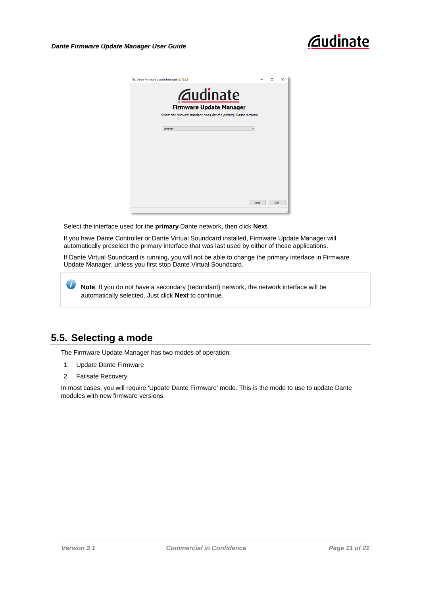| * Dante Firmware Update Manager v3.10.0.9                        |              | п    | $\times$ |
|------------------------------------------------------------------|--------------|------|----------|
| <b><i><u>Caudinate</u></i></b><br><b>Firmware Update Manager</b> |              |      |          |
| Select the network interface used for the primary Dante network  |              |      |          |
| Ethernet                                                         | $\checkmark$ |      |          |
|                                                                  |              |      |          |
|                                                                  |              |      |          |
|                                                                  |              |      |          |
|                                                                  |              |      |          |
|                                                                  | Next         | Quit |          |

Select the interface used for the **primary** Dante network, then click **Next**.

If you have Dante Controller or Dante Virtual Soundcard installed, Firmware Update Manager will automatically preselect the primary interface that was last used by either of those applications.

If Dante Virtual Soundcard is running, you will not be able to change the primary interface in Firmware Update Manager, unless you first stop Dante Virtual Soundcard.

**Note**: If you do not have a secondary (redundant) network, the network interface will be automatically selected. Just click **Next** to continue.

#### <span id="page-10-0"></span>**5.5. Selecting a mode**

The Firmware Update Manager has two modes of operation:

- 1. Update Dante Firmware
- 2. Failsafe Recovery

In most cases, you will require 'Update Dante Firmware' mode. This is the mode to use to update Dante modules with new firmware versions.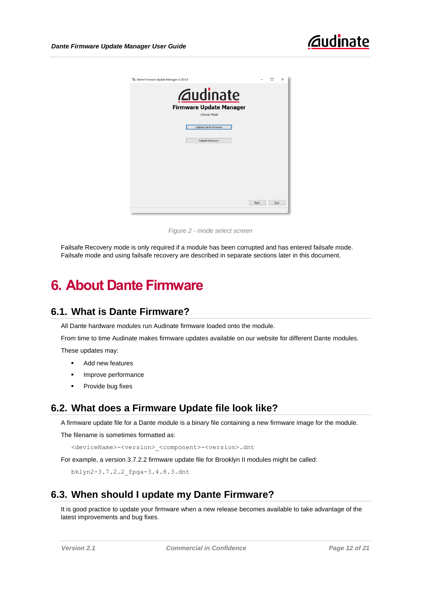

*Figure 2 - mode select screen*

Failsafe Recovery mode is only required if a module has been corrupted and has entered failsafe mode. Failsafe mode and using failsafe recovery are described in separate sections later in this document.

## <span id="page-11-0"></span>**6. About Dante Firmware**

#### <span id="page-11-1"></span>**6.1. What is Dante Firmware?**

All Dante hardware modules run Audinate firmware loaded onto the module.

From time to time Audinate makes firmware updates available on our website for different Dante modules.

These updates may:

- Add new features
- Improve performance
- Provide bug fixes

#### <span id="page-11-2"></span>**6.2. What does a Firmware Update file look like?**

A firmware update file for a Dante module is a binary file containing a new firmware image for the module.

The filename is sometimes formatted as:

<deviceName>-<version>\_<component>-<version>.dnt

For example, a version 3.7.2.2 firmware update file for Brooklyn II modules might be called:

bklyn2-3.7.2.2\_fpga-3.4.8.3.dnt

#### <span id="page-11-3"></span>**6.3. When should I update my Dante Firmware?**

It is good practice to update your firmware when a new release becomes available to take advantage of the latest improvements and bug fixes.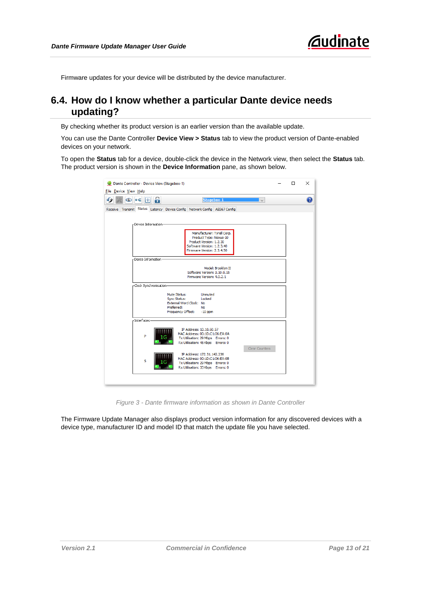Firmware updates for your device will be distributed by the device manufacturer.

#### <span id="page-12-0"></span>**6.4. How do I know whether a particular Dante device needs updating?**

By checking whether its product version is an earlier version than the available update.

You can use the Dante Controller **Device View > Status** tab to view the product version of Dante-enabled devices on your network.

To open the **Status** tab for a device, double-click the device in the Network view, then select the **Status** tab. The product version is shown in the **Device Information** pane, as shown below.

| Dante Controller - Device View (Stagebox-1)                                                                                                                | п | × |
|------------------------------------------------------------------------------------------------------------------------------------------------------------|---|---|
| File Device View Help                                                                                                                                      |   |   |
| 6<br>Stagebox-1<br>$\mathbb{H}$<br>le-⊄<br>$\overline{\phantom{0}}$<br>∞                                                                                   |   | 2 |
| Receive Transmit Status Latency Device Config Network Config AES67 Config                                                                                  |   |   |
|                                                                                                                                                            |   |   |
| -Device Information-                                                                                                                                       |   |   |
| Manufacturer: Tyrell Corp.<br>Product Type: Nexus-10<br>Product Version: 1.2.30<br>Software Version: 1.2.3.40<br>Firmware Version: 2.3.4.50                |   |   |
| -Dante Information-                                                                                                                                        |   |   |
| Model: Brooklyn II<br>Software Version: 3, 10.0, 15<br>Firmware Version: 4.0.2.1                                                                           |   |   |
| -Clock Synchronisation                                                                                                                                     |   |   |
| Unmuted<br>Mute Status:<br>Locked<br>Sync Status:<br>External Word Clock: No<br>Preferred:<br>No<br>Frequency Offset:<br>$-10$ ppm                         |   |   |
| -Interfaces-                                                                                                                                               |   |   |
| IP Address: 10.10.60.57<br>MAC Address: 00:1D:C1:06:EA:0A<br>P<br>Tx Utilisation: 29 Mbps Errors: 0<br>Rx Utilisation: 45 Kbps Errors: 0<br>Clear Counters |   |   |
| IP Address: 172.31.142.236<br>MAC Address: 00:1D:C1:06:EA:0B<br>s<br>Tx Utilisation: 29 Mbps Errors: 0<br>Rx Utilisation: 33 Kbps Errors: 0                |   |   |
|                                                                                                                                                            |   |   |

*Figure 3 - Dante firmware information as shown in Dante Controller*

The Firmware Update Manager also displays product version information for any discovered devices with a device type, manufacturer ID and model ID that match the update file you have selected.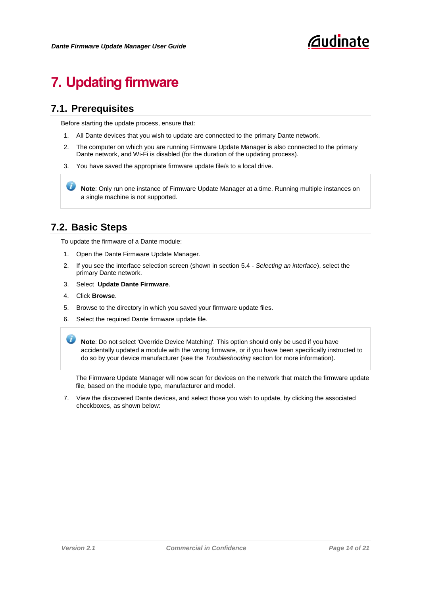## <span id="page-13-0"></span>**7. Updating firmware**

#### <span id="page-13-1"></span>**7.1. Prerequisites**

Before starting the update process, ensure that:

- 1. All Dante devices that you wish to update are connected to the primary Dante network.
- 2. The computer on which you are running Firmware Update Manager is also connected to the primary Dante network, and Wi-Fi is disabled (for the duration of the updating process).
- 3. You have saved the appropriate firmware update file/s to a local drive.

**Note**: Only run one instance of Firmware Update Manager at a time. Running multiple instances on a single machine is not supported.

#### <span id="page-13-2"></span>**7.2. Basic Steps**

To update the firmware of a Dante module:

- 1. Open the Dante Firmware Update Manager.
- 2. If you see the interface selection screen (shown in section [5.4](#page-9-2) *[Selecting an interface](#page-9-2)*), select the primary Dante network.
- 3. Select **Update Dante Firmware**.
- 4. Click **Browse**.
- 5. Browse to the directory in which you saved your firmware update files.
- 6. Select the required Dante firmware update file.

 $\boldsymbol{\omega}$ **Note**: Do not select 'Override Device Matching'. This option should only be used if you have accidentally updated a module with the wrong firmware, or if you have been specifically instructed to do so by your device manufacturer (see the *Troubleshooting* section for more information).

The Firmware Update Manager will now scan for devices on the network that match the firmware update file, based on the module type, manufacturer and model.

7. View the discovered Dante devices, and select those you wish to update, by clicking the associated checkboxes, as shown below: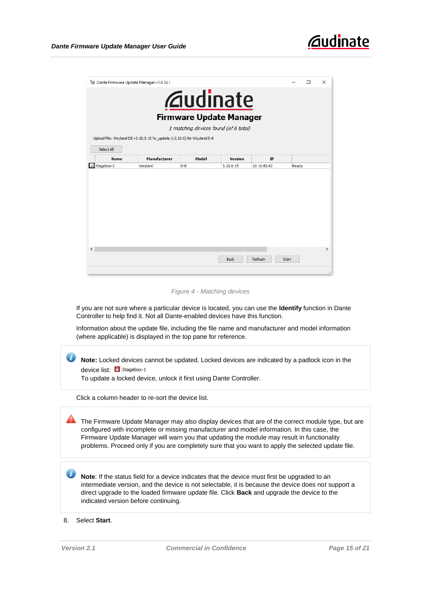

| * Dante Firmware Update Manager v1.4.12.1 |                                                                        |                                                                                                           |                |             |              | П | $\times$            |
|-------------------------------------------|------------------------------------------------------------------------|-----------------------------------------------------------------------------------------------------------|----------------|-------------|--------------|---|---------------------|
|                                           |                                                                        | <b><i><u>Caudinate</u></i></b><br><b>Firmware Update Manager</b><br>1 matching devices found (of 6 total) |                |             |              |   |                     |
|                                           | Upload File: Weyland D8 v3.10.0.19 fw_update (v3.10.0) for Weyland D-8 |                                                                                                           |                |             |              |   |                     |
| Select All<br><b>Name</b>                 | <b>Manufacturer</b>                                                    | Model                                                                                                     | <b>Version</b> | <b>IP</b>   |              |   |                     |
| Stagebox-2<br>٠                           | Weyland                                                                | $D-8$                                                                                                     | 3.10.0.15      | 10.10.60.62 | Ready        |   |                     |
| ∢                                         |                                                                        |                                                                                                           |                |             |              |   | $\rightarrow$       |
|                                           |                                                                        |                                                                                                           | <b>Back</b>    | Refresh     | <b>Start</b> |   |                     |
|                                           |                                                                        |                                                                                                           |                |             |              |   | $\ddot{\mathbf{u}}$ |

*Figure 4 - Matching devices*

If you are not sure where a particular device is located, you can use the **Identify** function in Dante Controller to help find it. Not all Dante-enabled devices have this function.

Information about the update file, including the file name and manufacturer and model information (where applicable) is displayed in the top pane for reference.

 $\boldsymbol{u}$ **Note:** Locked devices cannot be updated. Locked devices are indicated by a padlock icon in the device list: **8** Stagebox-1

To update a locked device, unlock it first using Dante Controller.

Click a column header to re-sort the device list.

The Firmware Update Manager may also display devices that are of the correct module type, but are configured with incomplete or missing manufacturer and model information. In this case, the Firmware Update Manager will warn you that updating the module may result in functionality problems. Proceed only if you are completely sure that you want to apply the selected update file.

**Note**: If the status field for a device indicates that the device must first be upgraded to an intermediate version, and the device is not selectable, it is because the device does not support a direct upgrade to the loaded firmware update file. Click **Back** and upgrade the device to the indicated version before continuing.

8. Select **Start**.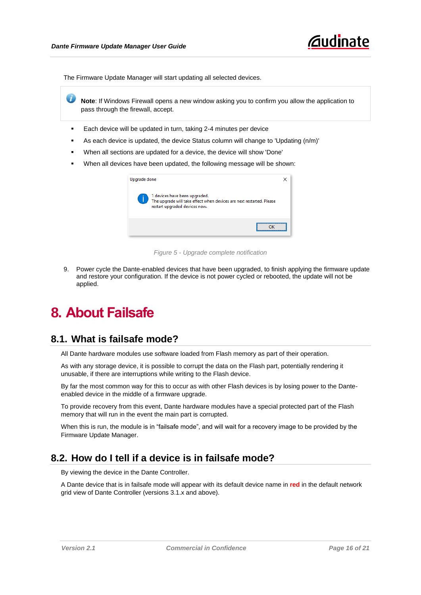

The Firmware Update Manager will start updating all selected devices.

J. **Note**: If Windows Firewall opens a new window asking you to confirm you allow the application to pass through the firewall, accept.

- Each device will be updated in turn, taking 2-4 minutes per device
- As each device is updated, the device Status column will change to 'Updating (n/m)'
- When all sections are updated for a device, the device will show 'Done'
- When all devices have been updated, the following message will be shown:

| Upgrade done |                                                                                                                                        |  |
|--------------|----------------------------------------------------------------------------------------------------------------------------------------|--|
|              | 1 devices have been upgraded.<br>The upgrade will take effect when devices are next restarted. Please<br>restart upgraded devices now. |  |
|              |                                                                                                                                        |  |

*Figure 5 - Upgrade complete notification*

9. Power cycle the Dante-enabled devices that have been upgraded, to finish applying the firmware update and restore your configuration. If the device is not power cycled or rebooted, the update will not be applied.

### <span id="page-15-0"></span>**8. About Failsafe**

#### <span id="page-15-1"></span>**8.1. What is failsafe mode?**

All Dante hardware modules use software loaded from Flash memory as part of their operation.

As with any storage device, it is possible to corrupt the data on the Flash part, potentially rendering it unusable, if there are interruptions while writing to the Flash device.

By far the most common way for this to occur as with other Flash devices is by losing power to the Danteenabled device in the middle of a firmware upgrade.

To provide recovery from this event, Dante hardware modules have a special protected part of the Flash memory that will run in the event the main part is corrupted.

When this is run, the module is in "failsafe mode", and will wait for a recovery image to be provided by the Firmware Update Manager.

#### <span id="page-15-2"></span>**8.2. How do I tell if a device is in failsafe mode?**

By viewing the device in the Dante Controller.

A Dante device that is in failsafe mode will appear with its default device name in **red** in the default network grid view of Dante Controller (versions 3.1.x and above).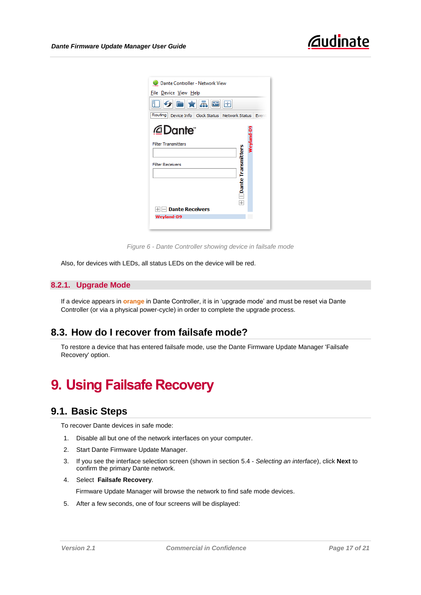| Dante Controller - Network View                       |                        |  |  |  |
|-------------------------------------------------------|------------------------|--|--|--|
| <u>File Device View Help</u>                          |                        |  |  |  |
| ▯◑▣★ <mark>underline</mark> ◙⊞                        |                        |  |  |  |
| Routing Device Info Clock Status Network Status Event |                        |  |  |  |
| <i>@</i> Dante"                                       | <del>W</del> eyland-D9 |  |  |  |
| <b>Filter Transmitters</b>                            |                        |  |  |  |
|                                                       |                        |  |  |  |
| <b>Filter Receivers</b>                               |                        |  |  |  |
|                                                       |                        |  |  |  |
|                                                       |                        |  |  |  |
| Dante Transmitters                                    |                        |  |  |  |
| $\overline{+}$                                        |                        |  |  |  |
| <b>Dante Receivers</b>                                |                        |  |  |  |
| <b>Weyland-D9</b>                                     |                        |  |  |  |
|                                                       |                        |  |  |  |

*Figure 6 - Dante Controller showing device in failsafe mode*

Also, for devices with LEDs, all status LEDs on the device will be red.

#### <span id="page-16-0"></span>**8.2.1. Upgrade Mode**

If a device appears in **orange** in Dante Controller, it is in 'upgrade mode' and must be reset via Dante Controller (or via a physical power-cycle) in order to complete the upgrade process.

#### <span id="page-16-1"></span>**8.3. How do I recover from failsafe mode?**

To restore a device that has entered failsafe mode, use the Dante Firmware Update Manager 'Failsafe Recovery' option.

## <span id="page-16-2"></span>**9. Using Failsafe Recovery**

#### <span id="page-16-3"></span>**9.1. Basic Steps**

To recover Dante devices in safe mode:

- 1. Disable all but one of the network interfaces on your computer.
- 2. Start Dante Firmware Update Manager.
- 3. If you see the interface selection screen (shown in section [5.4](#page-9-2) *[Selecting an interface](#page-9-2)*), click **Next** to confirm the primary Dante network.
- 4. Select **Failsafe Recovery**.

Firmware Update Manager will browse the network to find safe mode devices.

5. After a few seconds, one of four screens will be displayed: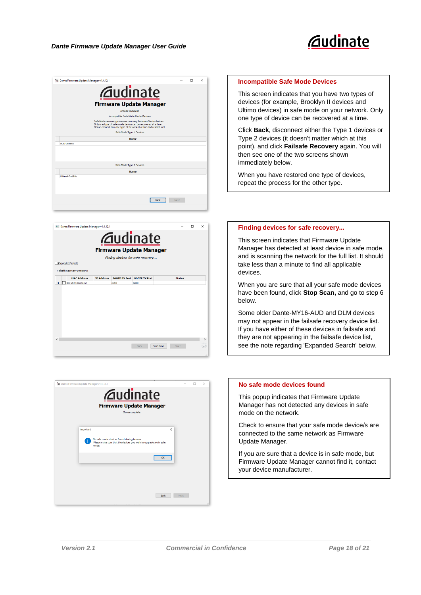

| <sup>1</sup> Dante Firmware Update Manager v1.4.12.1                                                                                                                                                |      | $\times$ |
|-----------------------------------------------------------------------------------------------------------------------------------------------------------------------------------------------------|------|----------|
| <b><i><u>Audinate</u></i></b>                                                                                                                                                                       |      |          |
| <b>Firmware Update Manager</b>                                                                                                                                                                      |      |          |
| Browse complete.                                                                                                                                                                                    |      |          |
| Incompatible Safe Mode Dante Devices                                                                                                                                                                |      |          |
| Safe Mode recovery processes can vary between Dante devices.<br>Only one type of safe mode device can be recovered at a time.<br>Please connect any one type of devices at a time and restart tool. |      |          |
| Safe Mode Type 1 Devices                                                                                                                                                                            |      |          |
| <b>Name</b>                                                                                                                                                                                         |      |          |
| AUD-06ea6c                                                                                                                                                                                          |      |          |
|                                                                                                                                                                                                     |      |          |
| Safe Mode Type 2 Devices                                                                                                                                                                            |      |          |
| <b>Name</b><br>Ultimo 4-0a 180e                                                                                                                                                                     |      |          |
|                                                                                                                                                                                                     |      |          |
|                                                                                                                                                                                                     |      |          |
|                                                                                                                                                                                                     |      |          |
| Back                                                                                                                                                                                                | Next |          |
|                                                                                                                                                                                                     |      |          |





#### **Incompatible Safe Mode Devices**

This screen indicates that you have two types of devices (for example, Brooklyn II devices and Ultimo devices) in safe mode on your network. Only one type of device can be recovered at a time.

Click **Back**, disconnect either the Type 1 devices or Type 2 devices (it doesn't matter which at this point), and click **Failsafe Recovery** again. You will then see one of the two screens shown immediately below.

When you have restored one type of devices, repeat the process for the other type.

#### **Finding devices for safe recovery...**

This screen indicates that Firmware Update Manager has detected at least device in safe mode, and is scanning the network for the full list. It should take less than a minute to find all applicable devices.

When you are sure that all your safe mode devices have been found, click **Stop Scan,** and go to step 6 below.

Some older Dante-MY16-AUD and DLM devices may not appear in the failsafe recovery device list. If you have either of these devices in failsafe and they are not appearing in the failsafe device list, see the note regarding 'Expanded Search' below.

#### **No safe mode devices found**

This popup indicates that Firmware Update Manager has not detected any devices in safe mode on the network.

Check to ensure that your safe mode device/s are connected to the same network as Firmware Update Manager.

If you are sure that a device is in safe mode, but Firmware Update Manager cannot find it, contact your device manufacturer.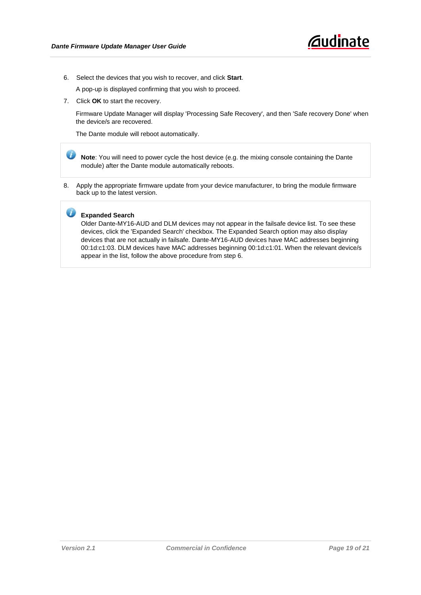

6. Select the devices that you wish to recover, and click **Start**.

A pop-up is displayed confirming that you wish to proceed.

7. Click **OK** to start the recovery.

Firmware Update Manager will display 'Processing Safe Recovery', and then 'Safe recovery Done' when the device/s are recovered.

The Dante module will reboot automatically.

 $\boldsymbol{u}$ **Note**: You will need to power cycle the host device (e.g. the mixing console containing the Dante module) after the Dante module automatically reboots.

8. Apply the appropriate firmware update from your device manufacturer, to bring the module firmware back up to the latest version.

#### **Expanded Search**

Older Dante-MY16-AUD and DLM devices may not appear in the failsafe device list. To see these devices, click the 'Expanded Search' checkbox. The Expanded Search option may also display devices that are not actually in failsafe. Dante-MY16-AUD devices have MAC addresses beginning 00:1d:c1:03. DLM devices have MAC addresses beginning 00:1d:c1:01. When the relevant device/s appear in the list, follow the above procedure from step 6.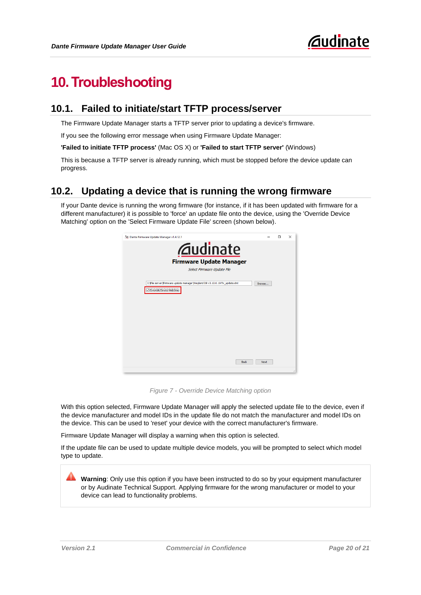## <span id="page-19-0"></span>**10.Troubleshooting**

#### <span id="page-19-1"></span>**10.1. Failed to initiate/start TFTP process/server**

The Firmware Update Manager starts a TFTP server prior to updating a device's firmware.

If you see the following error message when using Firmware Update Manager:

**'Failed to initiate TFTP process'** (Mac OS X) or **'Failed to start TFTP server'** (Windows)

This is because a TFTP server is already running, which must be stopped before the device update can progress.

#### <span id="page-19-2"></span>**10.2. Updating a device that is running the wrong firmware**

If your Dante device is running the wrong firmware (for instance, if it has been updated with firmware for a different manufacturer) it is possible to 'force' an update file onto the device, using the 'Override Device Matching' option on the 'Select Firmware Update File' screen (shown below).



*Figure 7 - Override Device Matching option*

With this option selected, Firmware Update Manager will apply the selected update file to the device, even if the device manufacturer and model IDs in the update file do not match the manufacturer and model IDs on the device. This can be used to 'reset' your device with the correct manufacturer's firmware.

Firmware Update Manager will display a warning when this option is selected.

If the update file can be used to update multiple device models, you will be prompted to select which model type to update.

**Warning**: Only use this option if you have been instructed to do so by your equipment manufacturer or by Audinate Technical Support. Applying firmware for the wrong manufacturer or model to your device can lead to functionality problems.